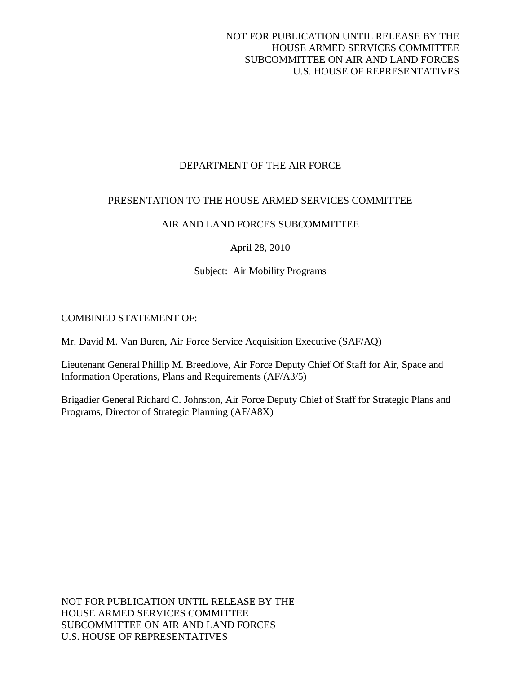# DEPARTMENT OF THE AIR FORCE

## PRESENTATION TO THE HOUSE ARMED SERVICES COMMITTEE

# AIR AND LAND FORCES SUBCOMMITTEE

April 28, 2010

# Subject: Air Mobility Programs

# COMBINED STATEMENT OF:

Mr. David M. Van Buren, Air Force Service Acquisition Executive (SAF/AQ)

Lieutenant General Phillip M. Breedlove, Air Force Deputy Chief Of Staff for Air, Space and Information Operations, Plans and Requirements (AF/A3/5)

Brigadier General Richard C. Johnston, Air Force Deputy Chief of Staff for Strategic Plans and Programs, Director of Strategic Planning (AF/A8X)

NOT FOR PUBLICATION UNTIL RELEASE BY THE HOUSE ARMED SERVICES COMMITTEE SUBCOMMITTEE ON AIR AND LAND FORCES U.S. HOUSE OF REPRESENTATIVES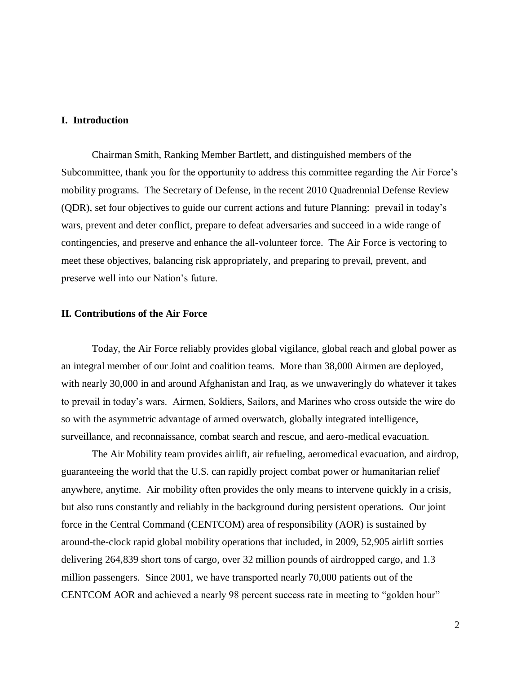## **I. Introduction**

Chairman Smith, Ranking Member Bartlett, and distinguished members of the Subcommittee, thank you for the opportunity to address this committee regarding the Air Force's mobility programs. The Secretary of Defense, in the recent 2010 Quadrennial Defense Review (QDR), set four objectives to guide our current actions and future Planning: prevail in today's wars, prevent and deter conflict, prepare to defeat adversaries and succeed in a wide range of contingencies, and preserve and enhance the all-volunteer force. The Air Force is vectoring to meet these objectives, balancing risk appropriately, and preparing to prevail, prevent, and preserve well into our Nation's future.

## **II. Contributions of the Air Force**

Today, the Air Force reliably provides global vigilance, global reach and global power as an integral member of our Joint and coalition teams. More than 38,000 Airmen are deployed, with nearly 30,000 in and around Afghanistan and Iraq, as we unwaveringly do whatever it takes to prevail in today's wars. Airmen, Soldiers, Sailors, and Marines who cross outside the wire do so with the asymmetric advantage of armed overwatch, globally integrated intelligence, surveillance, and reconnaissance, combat search and rescue, and aero-medical evacuation.

The Air Mobility team provides airlift, air refueling, aeromedical evacuation, and airdrop, guaranteeing the world that the U.S. can rapidly project combat power or humanitarian relief anywhere, anytime. Air mobility often provides the only means to intervene quickly in a crisis, but also runs constantly and reliably in the background during persistent operations. Our joint force in the Central Command (CENTCOM) area of responsibility (AOR) is sustained by around-the-clock rapid global mobility operations that included, in 2009, 52,905 airlift sorties delivering 264,839 short tons of cargo, over 32 million pounds of airdropped cargo, and 1.3 million passengers. Since 2001, we have transported nearly 70,000 patients out of the CENTCOM AOR and achieved a nearly 98 percent success rate in meeting to "golden hour"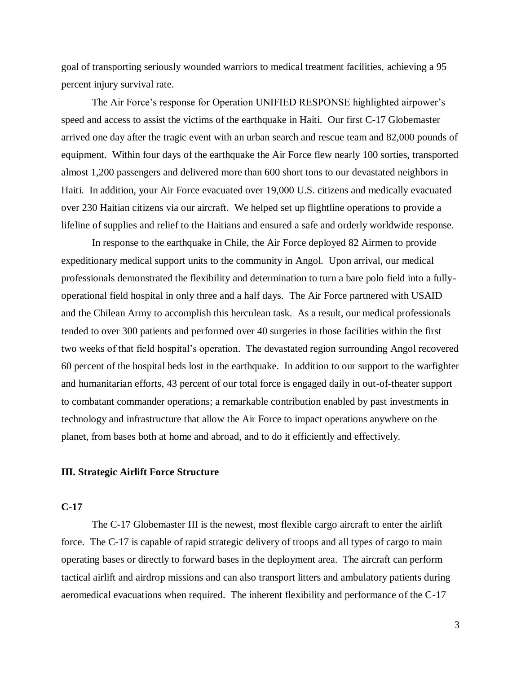goal of transporting seriously wounded warriors to medical treatment facilities, achieving a 95 percent injury survival rate.

The Air Force's response for Operation UNIFIED RESPONSE highlighted airpower's speed and access to assist the victims of the earthquake in Haiti. Our first C-17 Globemaster arrived one day after the tragic event with an urban search and rescue team and 82,000 pounds of equipment. Within four days of the earthquake the Air Force flew nearly 100 sorties, transported almost 1,200 passengers and delivered more than 600 short tons to our devastated neighbors in Haiti. In addition, your Air Force evacuated over 19,000 U.S. citizens and medically evacuated over 230 Haitian citizens via our aircraft. We helped set up flightline operations to provide a lifeline of supplies and relief to the Haitians and ensured a safe and orderly worldwide response.

In response to the earthquake in Chile, the Air Force deployed 82 Airmen to provide expeditionary medical support units to the community in Angol. Upon arrival, our medical professionals demonstrated the flexibility and determination to turn a bare polo field into a fullyoperational field hospital in only three and a half days. The Air Force partnered with USAID and the Chilean Army to accomplish this herculean task. As a result, our medical professionals tended to over 300 patients and performed over 40 surgeries in those facilities within the first two weeks of that field hospital's operation. The devastated region surrounding Angol recovered 60 percent of the hospital beds lost in the earthquake. In addition to our support to the warfighter and humanitarian efforts, 43 percent of our total force is engaged daily in out-of-theater support to combatant commander operations; a remarkable contribution enabled by past investments in technology and infrastructure that allow the Air Force to impact operations anywhere on the planet, from bases both at home and abroad, and to do it efficiently and effectively.

### **III. Strategic Airlift Force Structure**

## **C-17**

The C-17 Globemaster III is the newest, most flexible cargo aircraft to enter the airlift force. The C-17 is capable of rapid strategic delivery of troops and all types of cargo to main operating bases or directly to forward bases in the deployment area. The aircraft can perform tactical airlift and airdrop missions and can also transport litters and ambulatory patients during aeromedical evacuations when required. The inherent flexibility and performance of the C-17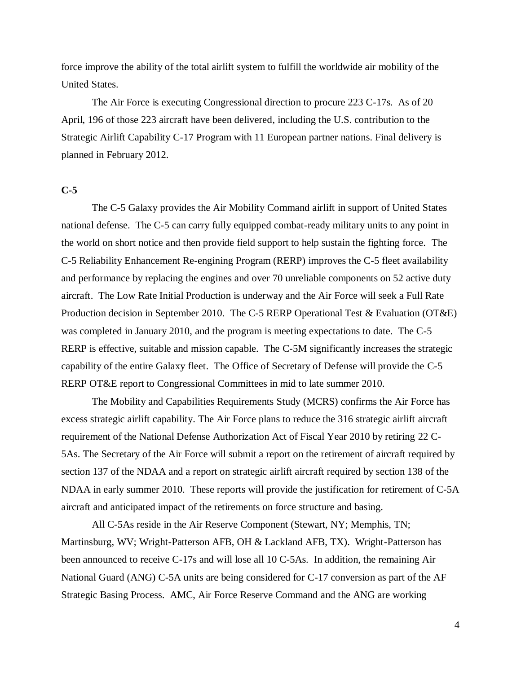force improve the ability of the total airlift system to fulfill the worldwide air mobility of the United States.

The Air Force is executing Congressional direction to procure 223 C-17s. As of 20 April, 196 of those 223 aircraft have been delivered, including the U.S. contribution to the Strategic Airlift Capability C-17 Program with 11 European partner nations. Final delivery is planned in February 2012.

## **C-5**

The C-5 Galaxy provides the Air Mobility Command airlift in support of United States national defense. The C-5 can carry fully equipped combat-ready military units to any point in the world on short notice and then provide field support to help sustain the fighting force. The C-5 Reliability Enhancement Re-engining Program (RERP) improves the C-5 fleet availability and performance by replacing the engines and over 70 unreliable components on 52 active duty aircraft. The Low Rate Initial Production is underway and the Air Force will seek a Full Rate Production decision in September 2010. The C-5 RERP Operational Test & Evaluation (OT&E) was completed in January 2010, and the program is meeting expectations to date. The C-5 RERP is effective, suitable and mission capable. The C-5M significantly increases the strategic capability of the entire Galaxy fleet. The Office of Secretary of Defense will provide the C-5 RERP OT&E report to Congressional Committees in mid to late summer 2010.

The Mobility and Capabilities Requirements Study (MCRS) confirms the Air Force has excess strategic airlift capability. The Air Force plans to reduce the 316 strategic airlift aircraft requirement of the National Defense Authorization Act of Fiscal Year 2010 by retiring 22 C-5As. The Secretary of the Air Force will submit a report on the retirement of aircraft required by section 137 of the NDAA and a report on strategic airlift aircraft required by section 138 of the NDAA in early summer 2010. These reports will provide the justification for retirement of C-5A aircraft and anticipated impact of the retirements on force structure and basing.

All C-5As reside in the Air Reserve Component (Stewart, NY; Memphis, TN; Martinsburg, WV; Wright-Patterson AFB, OH & Lackland AFB, TX). Wright-Patterson has been announced to receive C-17s and will lose all 10 C-5As. In addition, the remaining Air National Guard (ANG) C-5A units are being considered for C-17 conversion as part of the AF Strategic Basing Process. AMC, Air Force Reserve Command and the ANG are working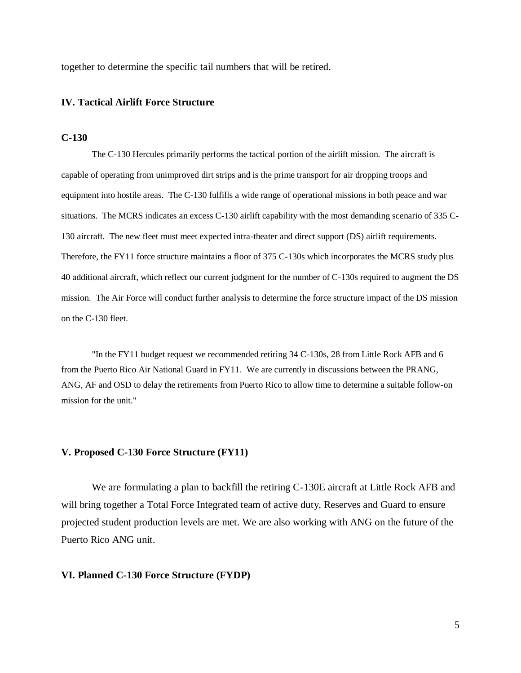together to determine the specific tail numbers that will be retired.

### **IV. Tactical Airlift Force Structure**

#### **C-130**

The C-130 Hercules primarily performs the tactical portion of the airlift mission. The aircraft is capable of operating from unimproved dirt strips and is the prime transport for air dropping troops and equipment into hostile areas. The C-130 fulfills a wide range of operational missions in both peace and war situations. The MCRS indicates an excess C-130 airlift capability with the most demanding scenario of 335 C-130 aircraft. The new fleet must meet expected intra-theater and direct support (DS) airlift requirements. Therefore, the FY11 force structure maintains a floor of 375 C-130s which incorporates the MCRS study plus 40 additional aircraft, which reflect our current judgment for the number of C-130s required to augment the DS mission. The Air Force will conduct further analysis to determine the force structure impact of the DS mission on the C-130 fleet.

"In the FY11 budget request we recommended retiring 34 C-130s, 28 from Little Rock AFB and 6 from the Puerto Rico Air National Guard in FY11. We are currently in discussions between the PRANG, ANG, AF and OSD to delay the retirements from Puerto Rico to allow time to determine a suitable follow-on mission for the unit."

#### **V. Proposed C-130 Force Structure (FY11)**

We are formulating a plan to backfill the retiring C-130E aircraft at Little Rock AFB and will bring together a Total Force Integrated team of active duty, Reserves and Guard to ensure projected student production levels are met. We are also working with ANG on the future of the Puerto Rico ANG unit.

#### **VI. Planned C-130 Force Structure (FYDP)**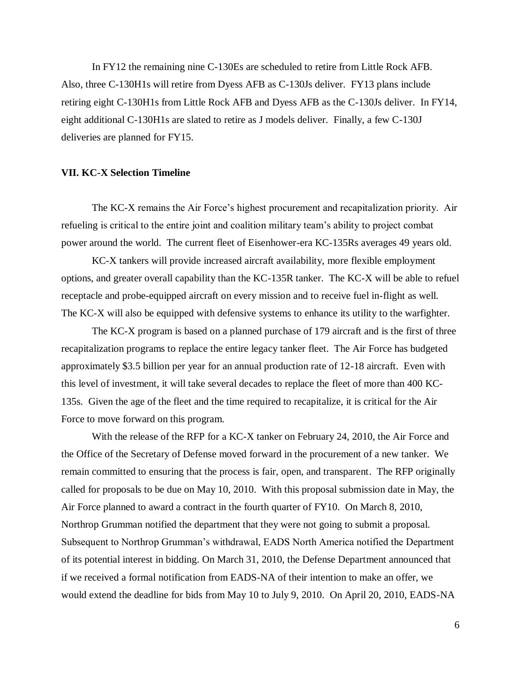In FY12 the remaining nine C-130Es are scheduled to retire from Little Rock AFB. Also, three C-130H1s will retire from Dyess AFB as C-130Js deliver. FY13 plans include retiring eight C-130H1s from Little Rock AFB and Dyess AFB as the C-130Js deliver. In FY14, eight additional C-130H1s are slated to retire as J models deliver. Finally, a few C-130J deliveries are planned for FY15.

### **VII. KC-X Selection Timeline**

The KC-X remains the Air Force's highest procurement and recapitalization priority. Air refueling is critical to the entire joint and coalition military team's ability to project combat power around the world. The current fleet of Eisenhower-era KC-135Rs averages 49 years old.

KC-X tankers will provide increased aircraft availability, more flexible employment options, and greater overall capability than the KC-135R tanker. The KC-X will be able to refuel receptacle and probe-equipped aircraft on every mission and to receive fuel in-flight as well. The KC-X will also be equipped with defensive systems to enhance its utility to the warfighter.

The KC-X program is based on a planned purchase of 179 aircraft and is the first of three recapitalization programs to replace the entire legacy tanker fleet. The Air Force has budgeted approximately \$3.5 billion per year for an annual production rate of 12-18 aircraft. Even with this level of investment, it will take several decades to replace the fleet of more than 400 KC-135s. Given the age of the fleet and the time required to recapitalize, it is critical for the Air Force to move forward on this program.

With the release of the RFP for a KC-X tanker on February 24, 2010, the Air Force and the Office of the Secretary of Defense moved forward in the procurement of a new tanker. We remain committed to ensuring that the process is fair, open, and transparent. The RFP originally called for proposals to be due on May 10, 2010. With this proposal submission date in May, the Air Force planned to award a contract in the fourth quarter of FY10. On March 8, 2010, Northrop Grumman notified the department that they were not going to submit a proposal. Subsequent to Northrop Grumman's withdrawal, EADS North America notified the Department of its potential interest in bidding. On March 31, 2010, the Defense Department announced that if we received a formal notification from EADS-NA of their intention to make an offer, we would extend the deadline for bids from May 10 to July 9, 2010. On April 20, 2010, EADS-NA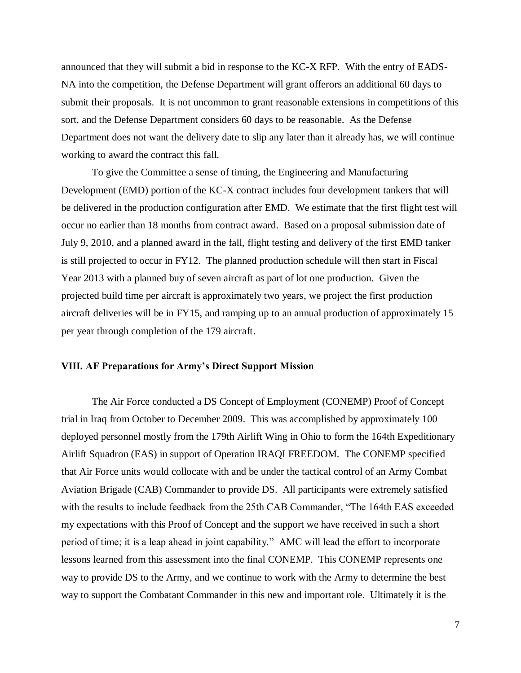announced that they will submit a bid in response to the KC-X RFP. With the entry of EADS-NA into the competition, the Defense Department will grant offerors an additional 60 days to submit their proposals. It is not uncommon to grant reasonable extensions in competitions of this sort, and the Defense Department considers 60 days to be reasonable. As the Defense Department does not want the delivery date to slip any later than it already has, we will continue working to award the contract this fall.

To give the Committee a sense of timing, the Engineering and Manufacturing Development (EMD) portion of the KC-X contract includes four development tankers that will be delivered in the production configuration after EMD. We estimate that the first flight test will occur no earlier than 18 months from contract award. Based on a proposal submission date of July 9, 2010, and a planned award in the fall, flight testing and delivery of the first EMD tanker is still projected to occur in FY12. The planned production schedule will then start in Fiscal Year 2013 with a planned buy of seven aircraft as part of lot one production. Given the projected build time per aircraft is approximately two years, we project the first production aircraft deliveries will be in FY15, and ramping up to an annual production of approximately 15 per year through completion of the 179 aircraft.

### **VIII. AF Preparations for Army's Direct Support Mission**

The Air Force conducted a DS Concept of Employment (CONEMP) Proof of Concept trial in Iraq from October to December 2009. This was accomplished by approximately 100 deployed personnel mostly from the 179th Airlift Wing in Ohio to form the 164th Expeditionary Airlift Squadron (EAS) in support of Operation IRAQI FREEDOM. The CONEMP specified that Air Force units would collocate with and be under the tactical control of an Army Combat Aviation Brigade (CAB) Commander to provide DS. All participants were extremely satisfied with the results to include feedback from the 25th CAB Commander, "The 164th EAS exceeded my expectations with this Proof of Concept and the support we have received in such a short period of time; it is a leap ahead in joint capability." AMC will lead the effort to incorporate lessons learned from this assessment into the final CONEMP. This CONEMP represents one way to provide DS to the Army, and we continue to work with the Army to determine the best way to support the Combatant Commander in this new and important role. Ultimately it is the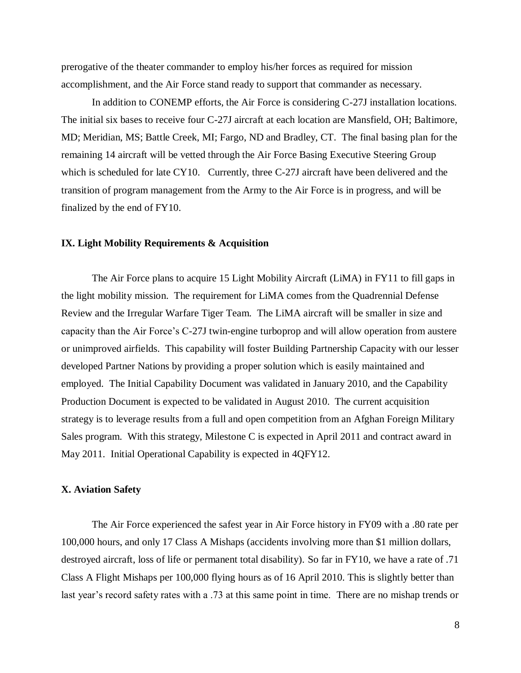prerogative of the theater commander to employ his/her forces as required for mission accomplishment, and the Air Force stand ready to support that commander as necessary.

In addition to CONEMP efforts, the Air Force is considering C-27J installation locations. The initial six bases to receive four C-27J aircraft at each location are Mansfield, OH; Baltimore, MD; Meridian, MS; Battle Creek, MI; Fargo, ND and Bradley, CT. The final basing plan for the remaining 14 aircraft will be vetted through the Air Force Basing Executive Steering Group which is scheduled for late CY10. Currently, three C-27J aircraft have been delivered and the transition of program management from the Army to the Air Force is in progress, and will be finalized by the end of FY10.

### **IX. Light Mobility Requirements & Acquisition**

The Air Force plans to acquire 15 Light Mobility Aircraft (LiMA) in FY11 to fill gaps in the light mobility mission. The requirement for LiMA comes from the Quadrennial Defense Review and the Irregular Warfare Tiger Team. The LiMA aircraft will be smaller in size and capacity than the Air Force's C-27J twin-engine turboprop and will allow operation from austere or unimproved airfields. This capability will foster Building Partnership Capacity with our lesser developed Partner Nations by providing a proper solution which is easily maintained and employed. The Initial Capability Document was validated in January 2010, and the Capability Production Document is expected to be validated in August 2010. The current acquisition strategy is to leverage results from a full and open competition from an Afghan Foreign Military Sales program. With this strategy, Milestone C is expected in April 2011 and contract award in May 2011. Initial Operational Capability is expected in 4QFY12.

#### **X. Aviation Safety**

The Air Force experienced the safest year in Air Force history in FY09 with a .80 rate per 100,000 hours, and only 17 Class A Mishaps (accidents involving more than \$1 million dollars, destroyed aircraft, loss of life or permanent total disability). So far in FY10, we have a rate of .71 Class A Flight Mishaps per 100,000 flying hours as of 16 April 2010. This is slightly better than last year's record safety rates with a .73 at this same point in time. There are no mishap trends or